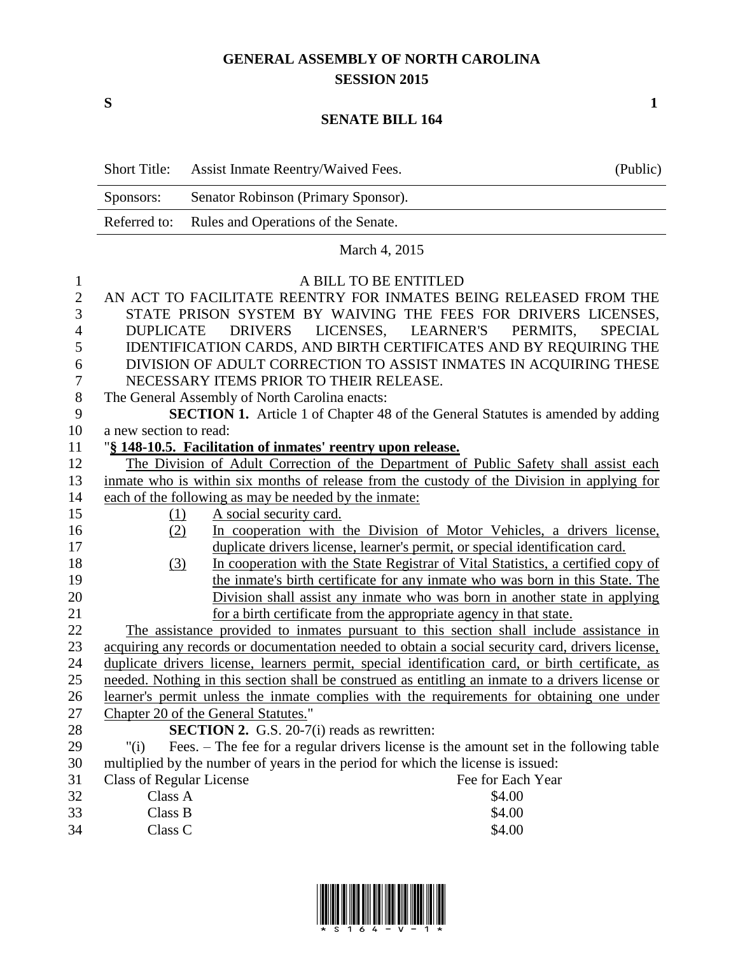## **GENERAL ASSEMBLY OF NORTH CAROLINA SESSION 2015**

## **SENATE BILL 164**

|                  | <b>Short Title:</b>                                                                         | Assist Inmate Reentry/Waived Fees.                                               | (Public)                                                                                                                                                                                              |  |  |
|------------------|---------------------------------------------------------------------------------------------|----------------------------------------------------------------------------------|-------------------------------------------------------------------------------------------------------------------------------------------------------------------------------------------------------|--|--|
|                  | Sponsors:                                                                                   | Senator Robinson (Primary Sponsor).                                              |                                                                                                                                                                                                       |  |  |
|                  | Referred to:                                                                                | Rules and Operations of the Senate.                                              |                                                                                                                                                                                                       |  |  |
|                  |                                                                                             | March 4, 2015                                                                    |                                                                                                                                                                                                       |  |  |
| $\mathbf{1}$     |                                                                                             | A BILL TO BE ENTITLED                                                            |                                                                                                                                                                                                       |  |  |
| $\boldsymbol{2}$ |                                                                                             |                                                                                  | AN ACT TO FACILITATE REENTRY FOR INMATES BEING RELEASED FROM THE                                                                                                                                      |  |  |
| 3                |                                                                                             |                                                                                  | STATE PRISON SYSTEM BY WAIVING THE FEES FOR DRIVERS LICENSES,                                                                                                                                         |  |  |
| $\overline{4}$   | <b>DUPLICATE</b>                                                                            | DRIVERS LICENSES, LEARNER'S                                                      | PERMITS,<br><b>SPECIAL</b>                                                                                                                                                                            |  |  |
| 5                |                                                                                             |                                                                                  | IDENTIFICATION CARDS, AND BIRTH CERTIFICATES AND BY REQUIRING THE                                                                                                                                     |  |  |
| 6                | DIVISION OF ADULT CORRECTION TO ASSIST INMATES IN ACQUIRING THESE                           |                                                                                  |                                                                                                                                                                                                       |  |  |
| $\boldsymbol{7}$ |                                                                                             | NECESSARY ITEMS PRIOR TO THEIR RELEASE.                                          |                                                                                                                                                                                                       |  |  |
| $8\,$            |                                                                                             | The General Assembly of North Carolina enacts:                                   |                                                                                                                                                                                                       |  |  |
| 9                |                                                                                             |                                                                                  | <b>SECTION 1.</b> Article 1 of Chapter 48 of the General Statutes is amended by adding                                                                                                                |  |  |
| 10               | a new section to read:                                                                      |                                                                                  |                                                                                                                                                                                                       |  |  |
| 11               | "§ 148-10.5. Facilitation of inmates' reentry upon release.                                 |                                                                                  |                                                                                                                                                                                                       |  |  |
| 12               |                                                                                             |                                                                                  | The Division of Adult Correction of the Department of Public Safety shall assist each                                                                                                                 |  |  |
| 13               | inmate who is within six months of release from the custody of the Division in applying for |                                                                                  |                                                                                                                                                                                                       |  |  |
| 14               |                                                                                             | each of the following as may be needed by the inmate:                            |                                                                                                                                                                                                       |  |  |
| 15               | (1)                                                                                         | A social security card.                                                          |                                                                                                                                                                                                       |  |  |
| 16               | (2)                                                                                         |                                                                                  | In cooperation with the Division of Motor Vehicles, a drivers license,                                                                                                                                |  |  |
| 17               |                                                                                             |                                                                                  | duplicate drivers license, learner's permit, or special identification card.                                                                                                                          |  |  |
| 18               | (3)                                                                                         |                                                                                  | In cooperation with the State Registrar of Vital Statistics, a certified copy of                                                                                                                      |  |  |
| 19               |                                                                                             |                                                                                  | the inmate's birth certificate for any inmate who was born in this State. The                                                                                                                         |  |  |
| 20               |                                                                                             |                                                                                  | Division shall assist any inmate who was born in another state in applying                                                                                                                            |  |  |
| 21               |                                                                                             | for a birth certificate from the appropriate agency in that state.               |                                                                                                                                                                                                       |  |  |
| 22               |                                                                                             |                                                                                  | The assistance provided to inmates pursuant to this section shall include assistance in                                                                                                               |  |  |
| 23               |                                                                                             |                                                                                  | acquiring any records or documentation needed to obtain a social security card, drivers license,<br>duplicate drivers license, learners permit, special identification card, or birth certificate, as |  |  |
| 24<br>25         |                                                                                             |                                                                                  | needed. Nothing in this section shall be construed as entitling an inmate to a drivers license or                                                                                                     |  |  |
| 26               |                                                                                             |                                                                                  | learner's permit unless the inmate complies with the requirements for obtaining one under                                                                                                             |  |  |
| 27               |                                                                                             | Chapter 20 of the General Statutes."                                             |                                                                                                                                                                                                       |  |  |
| 28               |                                                                                             | <b>SECTION 2.</b> G.S. 20-7(i) reads as rewritten:                               |                                                                                                                                                                                                       |  |  |
| 29               | " $(i)$                                                                                     |                                                                                  | Fees. – The fee for a regular drivers license is the amount set in the following table                                                                                                                |  |  |
| 30               |                                                                                             | multiplied by the number of years in the period for which the license is issued: |                                                                                                                                                                                                       |  |  |
| 31               | <b>Class of Regular License</b>                                                             |                                                                                  | Fee for Each Year                                                                                                                                                                                     |  |  |
| 32               | Class A                                                                                     |                                                                                  | \$4.00                                                                                                                                                                                                |  |  |
| 33               | Class B                                                                                     |                                                                                  | \$4.00                                                                                                                                                                                                |  |  |
| 34               | Class C                                                                                     |                                                                                  | \$4.00                                                                                                                                                                                                |  |  |
|                  |                                                                                             |                                                                                  |                                                                                                                                                                                                       |  |  |



**S 1**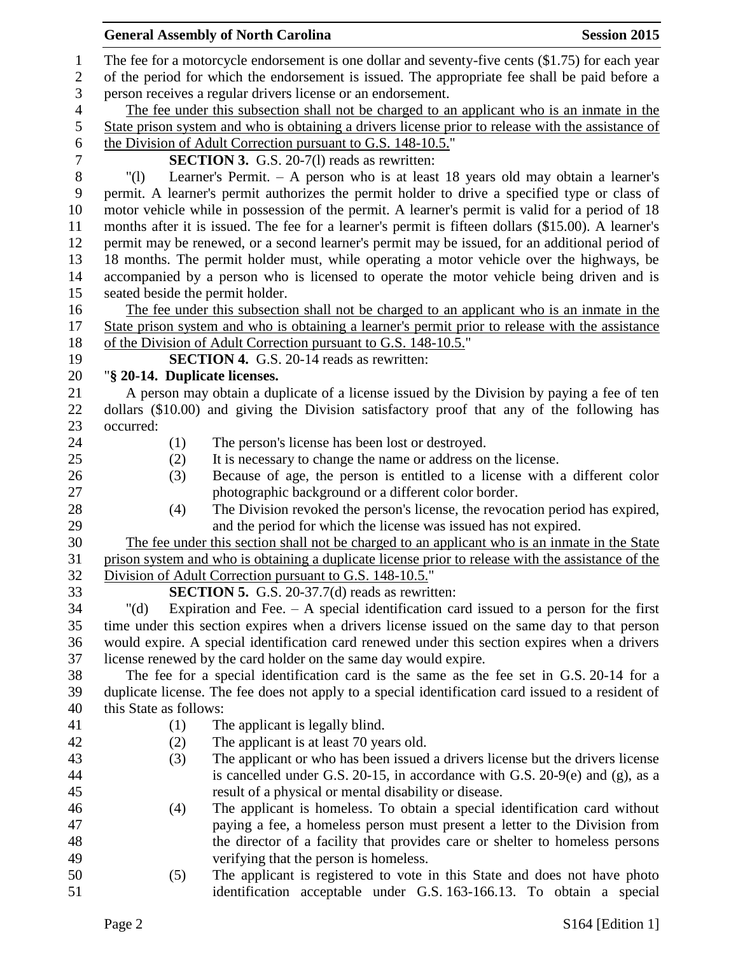|                  |                                                                                                                                                                                               | <b>General Assembly of North Carolina</b>                                                                                                         | <b>Session 2015</b> |  |  |  |  |
|------------------|-----------------------------------------------------------------------------------------------------------------------------------------------------------------------------------------------|---------------------------------------------------------------------------------------------------------------------------------------------------|---------------------|--|--|--|--|
| $\mathbf{1}$     |                                                                                                                                                                                               | The fee for a motorcycle endorsement is one dollar and seventy-five cents $(\$1.75)$ for each year                                                |                     |  |  |  |  |
| $\overline{2}$   | of the period for which the endorsement is issued. The appropriate fee shall be paid before a                                                                                                 |                                                                                                                                                   |                     |  |  |  |  |
| 3                | person receives a regular drivers license or an endorsement.                                                                                                                                  |                                                                                                                                                   |                     |  |  |  |  |
| $\overline{4}$   |                                                                                                                                                                                               | The fee under this subsection shall not be charged to an applicant who is an inmate in the                                                        |                     |  |  |  |  |
| 5                |                                                                                                                                                                                               | State prison system and who is obtaining a drivers license prior to release with the assistance of                                                |                     |  |  |  |  |
| $\boldsymbol{6}$ |                                                                                                                                                                                               | the Division of Adult Correction pursuant to G.S. 148-10.5."                                                                                      |                     |  |  |  |  |
| $\overline{7}$   |                                                                                                                                                                                               | <b>SECTION 3.</b> G.S. 20-7(1) reads as rewritten:                                                                                                |                     |  |  |  |  |
| $8\,$            | $^{\prime\prime}(1)$                                                                                                                                                                          | Learner's Permit. $-$ A person who is at least 18 years old may obtain a learner's                                                                |                     |  |  |  |  |
| 9                |                                                                                                                                                                                               | permit. A learner's permit authorizes the permit holder to drive a specified type or class of                                                     |                     |  |  |  |  |
| 10               |                                                                                                                                                                                               | motor vehicle while in possession of the permit. A learner's permit is valid for a period of 18                                                   |                     |  |  |  |  |
| 11               |                                                                                                                                                                                               | months after it is issued. The fee for a learner's permit is fifteen dollars (\$15.00). A learner's                                               |                     |  |  |  |  |
| 12               | permit may be renewed, or a second learner's permit may be issued, for an additional period of                                                                                                |                                                                                                                                                   |                     |  |  |  |  |
| 13               |                                                                                                                                                                                               | 18 months. The permit holder must, while operating a motor vehicle over the highways, be                                                          |                     |  |  |  |  |
| 14               |                                                                                                                                                                                               | accompanied by a person who is licensed to operate the motor vehicle being driven and is                                                          |                     |  |  |  |  |
| 15               | seated beside the permit holder.                                                                                                                                                              |                                                                                                                                                   |                     |  |  |  |  |
| 16               |                                                                                                                                                                                               | The fee under this subsection shall not be charged to an applicant who is an inmate in the                                                        |                     |  |  |  |  |
| 17               |                                                                                                                                                                                               | State prison system and who is obtaining a learner's permit prior to release with the assistance                                                  |                     |  |  |  |  |
| 18               |                                                                                                                                                                                               | of the Division of Adult Correction pursuant to G.S. 148-10.5."                                                                                   |                     |  |  |  |  |
| 19               |                                                                                                                                                                                               | <b>SECTION 4.</b> G.S. 20-14 reads as rewritten:                                                                                                  |                     |  |  |  |  |
| 20               | "§ 20-14. Duplicate licenses.                                                                                                                                                                 |                                                                                                                                                   |                     |  |  |  |  |
| 21               |                                                                                                                                                                                               | A person may obtain a duplicate of a license issued by the Division by paying a fee of ten                                                        |                     |  |  |  |  |
| 22               |                                                                                                                                                                                               | dollars (\$10.00) and giving the Division satisfactory proof that any of the following has                                                        |                     |  |  |  |  |
| 23               | occurred:                                                                                                                                                                                     |                                                                                                                                                   |                     |  |  |  |  |
| 24               | (1)                                                                                                                                                                                           | The person's license has been lost or destroyed.                                                                                                  |                     |  |  |  |  |
| 25               | (2)                                                                                                                                                                                           | It is necessary to change the name or address on the license.                                                                                     |                     |  |  |  |  |
| 26               | (3)                                                                                                                                                                                           | Because of age, the person is entitled to a license with a different color                                                                        |                     |  |  |  |  |
| 27               |                                                                                                                                                                                               | photographic background or a different color border.                                                                                              |                     |  |  |  |  |
| 28<br>29         | (4)                                                                                                                                                                                           | The Division revoked the person's license, the revocation period has expired,<br>and the period for which the license was issued has not expired. |                     |  |  |  |  |
| 30               |                                                                                                                                                                                               | The fee under this section shall not be charged to an applicant who is an inmate in the State                                                     |                     |  |  |  |  |
| 31               |                                                                                                                                                                                               | prison system and who is obtaining a duplicate license prior to release with the assistance of the                                                |                     |  |  |  |  |
| 32               |                                                                                                                                                                                               | Division of Adult Correction pursuant to G.S. 148-10.5."                                                                                          |                     |  |  |  |  |
| 33               |                                                                                                                                                                                               | <b>SECTION 5.</b> G.S. 20-37.7(d) reads as rewritten:                                                                                             |                     |  |  |  |  |
| 34               | " $(d)$                                                                                                                                                                                       | Expiration and Fee. $-$ A special identification card issued to a person for the first                                                            |                     |  |  |  |  |
| 35               |                                                                                                                                                                                               |                                                                                                                                                   |                     |  |  |  |  |
| 36               | time under this section expires when a drivers license issued on the same day to that person<br>would expire. A special identification card renewed under this section expires when a drivers |                                                                                                                                                   |                     |  |  |  |  |
| 37               | license renewed by the card holder on the same day would expire.                                                                                                                              |                                                                                                                                                   |                     |  |  |  |  |
| 38               |                                                                                                                                                                                               | The fee for a special identification card is the same as the fee set in G.S. 20-14 for a                                                          |                     |  |  |  |  |
| 39               | duplicate license. The fee does not apply to a special identification card issued to a resident of                                                                                            |                                                                                                                                                   |                     |  |  |  |  |
| 40               |                                                                                                                                                                                               | this State as follows:                                                                                                                            |                     |  |  |  |  |
| 41               | (1)                                                                                                                                                                                           | The applicant is legally blind.                                                                                                                   |                     |  |  |  |  |
| 42               | (2)                                                                                                                                                                                           | The applicant is at least 70 years old.                                                                                                           |                     |  |  |  |  |
| 43               | (3)                                                                                                                                                                                           | The applicant or who has been issued a drivers license but the drivers license                                                                    |                     |  |  |  |  |
| 44               |                                                                                                                                                                                               | is cancelled under G.S. 20-15, in accordance with G.S. 20-9 $(e)$ and $(g)$ , as a                                                                |                     |  |  |  |  |
| 45               |                                                                                                                                                                                               | result of a physical or mental disability or disease.                                                                                             |                     |  |  |  |  |
| 46               | (4)                                                                                                                                                                                           | The applicant is homeless. To obtain a special identification card without                                                                        |                     |  |  |  |  |
| 47               |                                                                                                                                                                                               | paying a fee, a homeless person must present a letter to the Division from                                                                        |                     |  |  |  |  |
| 48               |                                                                                                                                                                                               | the director of a facility that provides care or shelter to homeless persons                                                                      |                     |  |  |  |  |
| 49               |                                                                                                                                                                                               | verifying that the person is homeless.                                                                                                            |                     |  |  |  |  |
| 50               | (5)                                                                                                                                                                                           | The applicant is registered to vote in this State and does not have photo                                                                         |                     |  |  |  |  |
| 51               |                                                                                                                                                                                               | identification acceptable under G.S. 163-166.13. To obtain a special                                                                              |                     |  |  |  |  |